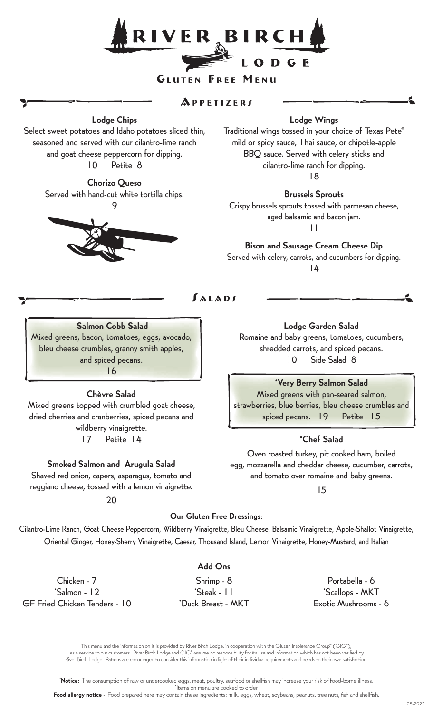

### GLUTEN FREE MENU

# $APPETIZE$

Lodge Chips

Select sweet potatoes and Idaho potatoes sliced thin, seasoned and served with our cilantro-lime ranch and goat cheese peppercorn for dipping. 10 Petite 8

> Chorizo Queso Served with hand-cut white tortilla chips. 9



# Lodge Wings

Traditional wings tossed in your choice of Texas Pete® mild or spicy sauce, Thai sauce, or chipotle-apple BBQ sauce. Served with celery sticks and cilantro-lime ranch for dipping.

18

### Brussels Sprouts

Crispy brussels sprouts tossed with parmesan cheese, aged balsamic and bacon jam. 11

Bison and Sausage Cream Cheese Dip Served with celery, carrots, and cucumbers for dipping. 14

 $f$  $A$  $I$  $A$  $D$  $f$ 

# Salmon Cobb Salad

Mixed greens, bacon, tomatoes, eggs, avocado, bleu cheese crumbles, granny smith apples, and spiced pecans. 16

# Chèvre Salad

Mixed greens topped with crumbled goat cheese, dried cherries and cranberries, spiced pecans and wildberry vinaigrette. 17 Petite 14

#### Smoked Salmon and Arugula Salad

Shaved red onion, capers, asparagus, tomato and reggiano cheese, tossed with a lemon vinaigrette.

20

# Lodge Garden Salad

Romaine and baby greens, tomatoes, cucumbers, shredded carrots, and spiced pecans. 10 Side Salad 8

\*Very Berry Salmon Salad

Mixed greens with pan-seared salmon, strawberries, blue berries, bleu cheese crumbles and spiced pecans. 19 Petite 15

# \*Chef Salad

Oven roasted turkey, pit cooked ham, boiled egg, mozzarella and cheddar cheese, cucumber, carrots, and tomato over romaine and baby greens.

15

#### Our Gluten Free Dressings:

Cilantro-Lime Ranch, Goat Cheese Peppercorn, Wildberry Vinaigrette, Bleu Cheese, Balsamic Vinaigrette, Apple-Shallot Vinaigrette, Oriental Ginger, Honey-Sherry Vinaigrette, Caesar, Thousand Island, Lemon Vinaigrette, Honey-Mustard, and Italian

Chicken - 7 \*Salmon - 12 GF Fried Chicken Tenders - 10

# Add Ons

Shrimp - 8 \*Steak - 11 \*Duck Breast - MKT

Portabella - 6 \*Scallops - MKT Exotic Mushrooms - 6

This menu and the information on it is provided by River Birch Lodge, in cooperation with the Gluten Intolerance Group® (GIG®), as a service to our customers. River Birch Lodge and GIG® assume no responsibility for its use and information which has not been verified by River Birch Lodge. Patrons are encouraged to consider this information in light of their individual requirements and needs to their own satisfaction.

\*Notice: The consumption of raw or undercooked eggs, meat, poultry, seafood or shellfish may increase your risk of food-borne illness. \*Items on menu are cooked to order

Food allergy notice - Food prepared here may contain these ingredients: milk, eggs, wheat, soybeans, peanuts, tree nuts, fish and shellfish.